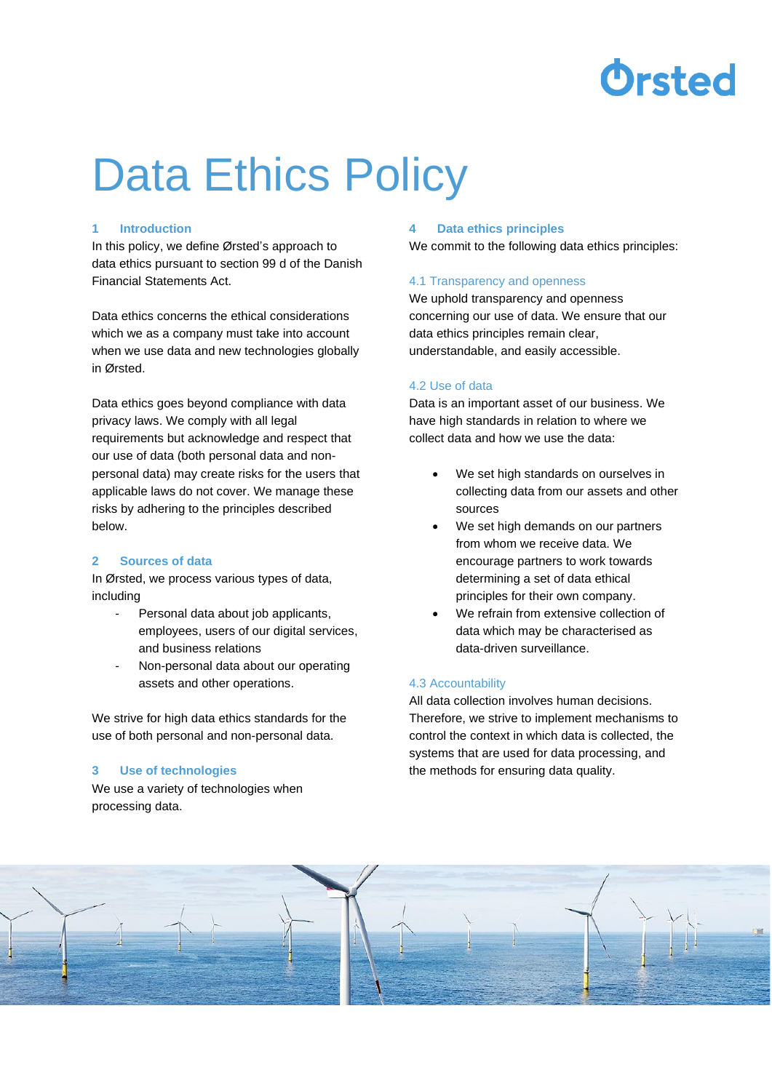

# Data Ethics Policy

### **1 Introduction**

In this policy, we define Ørsted's approach to data ethics pursuant to section 99 d of the Danish Financial Statements Act.

Data ethics concerns the ethical considerations which we as a company must take into account when we use data and new technologies globally in Ørsted.

Data ethics goes beyond compliance with data privacy laws. We comply with all legal requirements but acknowledge and respect that our use of data (both personal data and nonpersonal data) may create risks for the users that applicable laws do not cover. We manage these risks by adhering to the principles described below.

# **2 Sources of data**

In Ørsted, we process various types of data, including

- Personal data about job applicants, employees, users of our digital services, and business relations
- Non-personal data about our operating assets and other operations.

We strive for high data ethics standards for the use of both personal and non-personal data.

### **3 Use of technologies**

We use a variety of technologies when processing data.

### **4 Data ethics principles**

We commit to the following data ethics principles:

#### 4.1 Transparency and openness

We uphold transparency and openness concerning our use of data. We ensure that our data ethics principles remain clear, understandable, and easily accessible.

## 4.2 Use of data

Data is an important asset of our business. We have high standards in relation to where we collect data and how we use the data:

- We set high standards on ourselves in collecting data from our assets and other sources
- We set high demands on our partners from whom we receive data. We encourage partners to work towards determining a set of data ethical principles for their own company.
- We refrain from extensive collection of data which may be characterised as data-driven surveillance.

# 4.3 Accountability

All data collection involves human decisions. Therefore, we strive to implement mechanisms to control the context in which data is collected, the systems that are used for data processing, and the methods for ensuring data quality.